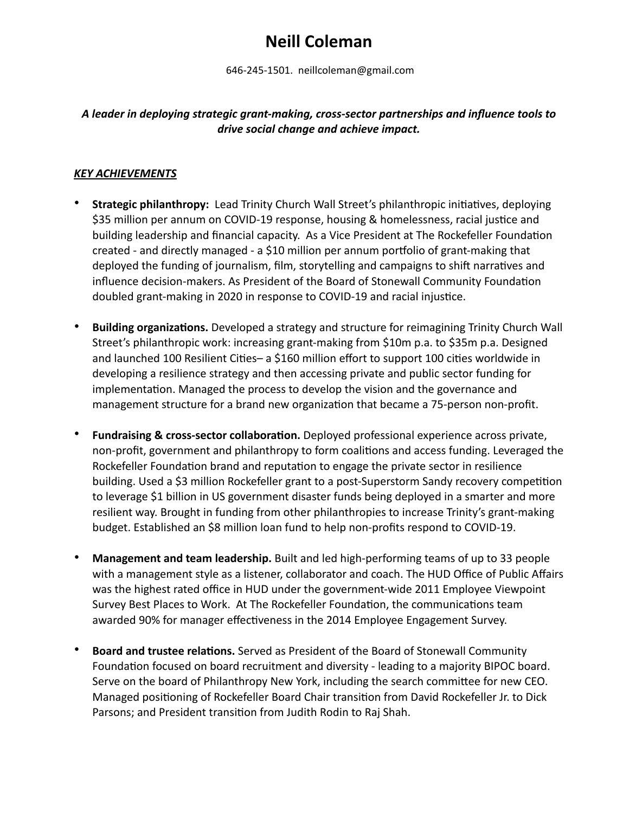# **Neill Coleman**

646-245-1501. neillcoleman@gmail.com

## *A leader in deploying strategic grant-making, cross-sector partnerships and influence tools to drive social change and achieve impact.*

#### *KEY ACHIEVEMENTS*

- **Strategic philanthropy:** Lead Trinity Church Wall Street's philanthropic initiatives, deploying \$35 million per annum on COVID-19 response, housing & homelessness, racial justice and building leadership and financial capacity. As a Vice President at The Rockefeller Foundation created - and directly managed - a \$10 million per annum portfolio of grant-making that deployed the funding of journalism, film, storytelling and campaigns to shift narratives and influence decision-makers. As President of the Board of Stonewall Community Foundation doubled grant-making in 2020 in response to COVID-19 and racial injustice.
- **Building organizations.** Developed a strategy and structure for reimagining Trinity Church Wall Street's philanthropic work: increasing grant-making from \$10m p.a. to \$35m p.a. Designed and launched 100 Resilient Cities– a \$160 million effort to support 100 cities worldwide in developing a resilience strategy and then accessing private and public sector funding for implementation. Managed the process to develop the vision and the governance and management structure for a brand new organization that became a 75-person non-profit.
- **Fundraising & cross-sector collaboration.** Deployed professional experience across private, non-profit, government and philanthropy to form coalitions and access funding. Leveraged the Rockefeller Foundation brand and reputation to engage the private sector in resilience building. Used a \$3 million Rockefeller grant to a post-Superstorm Sandy recovery competition to leverage \$1 billion in US government disaster funds being deployed in a smarter and more resilient way. Brought in funding from other philanthropies to increase Trinity's grant-making budget. Established an \$8 million loan fund to help non-profits respond to COVID-19.
- **Management and team leadership.** Built and led high-performing teams of up to 33 people with a management style as a listener, collaborator and coach. The HUD Office of Public Affairs was the highest rated office in HUD under the government-wide 2011 Employee Viewpoint Survey Best Places to Work. At The Rockefeller Foundation, the communications team awarded 90% for manager effectiveness in the 2014 Employee Engagement Survey.
- **Board and trustee relations.** Served as President of the Board of Stonewall Community Foundation focused on board recruitment and diversity - leading to a majority BIPOC board. Serve on the board of Philanthropy New York, including the search committee for new CEO. Managed positioning of Rockefeller Board Chair transition from David Rockefeller Jr. to Dick Parsons; and President transition from Judith Rodin to Raj Shah.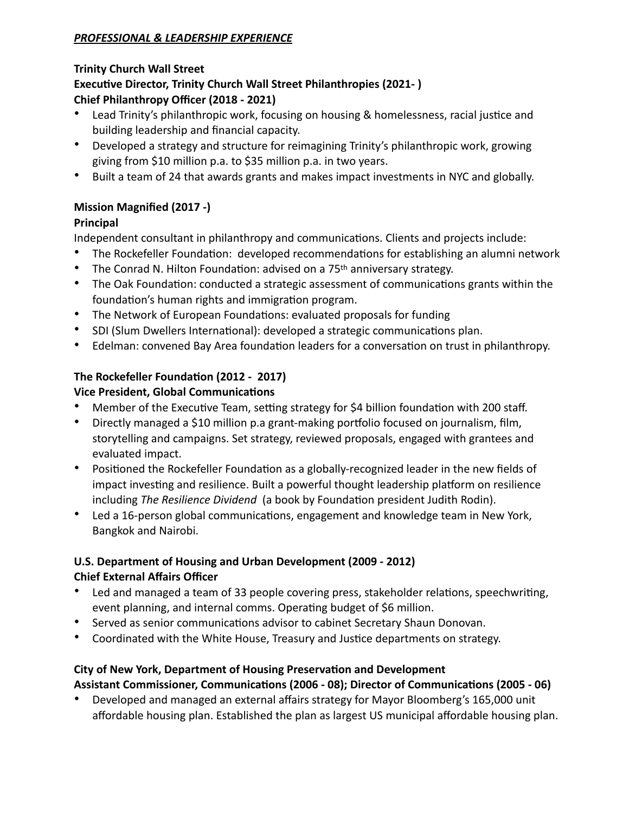## *PROFESSIONAL & LEADERSHIP EXPERIENCE*

#### **Trinity Church Wall Street**

## **Executive Director, Trinity Church Wall Street Philanthropies (2021- ) Chief Philanthropy Officer (2018 - 2021)**

- Lead Trinity's philanthropic work, focusing on housing & homelessness, racial justice and building leadership and financial capacity.
- Developed a strategy and structure for reimagining Trinity's philanthropic work, growing giving from \$10 million p.a. to \$35 million p.a. in two years.
- Built a team of 24 that awards grants and makes impact investments in NYC and globally.

## **Mission Magnified (2017 -)**

## **Principal**

Independent consultant in philanthropy and communications. Clients and projects include:

- The Rockefeller Foundation: developed recommendations for establishing an alumni network
- The Conrad N. Hilton Foundation: advised on a 75<sup>th</sup> anniversary strategy.
- The Oak Foundation: conducted a strategic assessment of communications grants within the foundation's human rights and immigration program.
- The Network of European Foundations: evaluated proposals for funding
- SDI (Slum Dwellers International): developed a strategic communications plan.
- Edelman: convened Bay Area foundation leaders for a conversation on trust in philanthropy.

# **The Rockefeller Foundation (2012 - 2017)**

# **Vice President, Global Communications**

- Member of the Executive Team, setting strategy for \$4 billion foundation with 200 staff.
- Directly managed a \$10 million p.a grant-making portfolio focused on journalism, film, storytelling and campaigns. Set strategy, reviewed proposals, engaged with grantees and evaluated impact.
- Positioned the Rockefeller Foundation as a globally-recognized leader in the new fields of impact investing and resilience. Built a powerful thought leadership platform on resilience including *The Resilience Dividend* (a book by Foundation president Judith Rodin).
- Led a 16-person global communications, engagement and knowledge team in New York, Bangkok and Nairobi.

# **U.S. Department of Housing and Urban Development (2009 - 2012) Chief External Affairs Officer**

- Led and managed a team of 33 people covering press, stakeholder relations, speechwriting, event planning, and internal comms. Operating budget of \$6 million.
- Served as senior communications advisor to cabinet Secretary Shaun Donovan.
- Coordinated with the White House, Treasury and Justice departments on strategy.

# **City of New York, Department of Housing Preservation and Development Assistant Commissioner, Communications (2006 - 08); Director of Communications (2005 - 06)**

• Developed and managed an external affairs strategy for Mayor Bloomberg's 165,000 unit affordable housing plan. Established the plan as largest US municipal affordable housing plan.